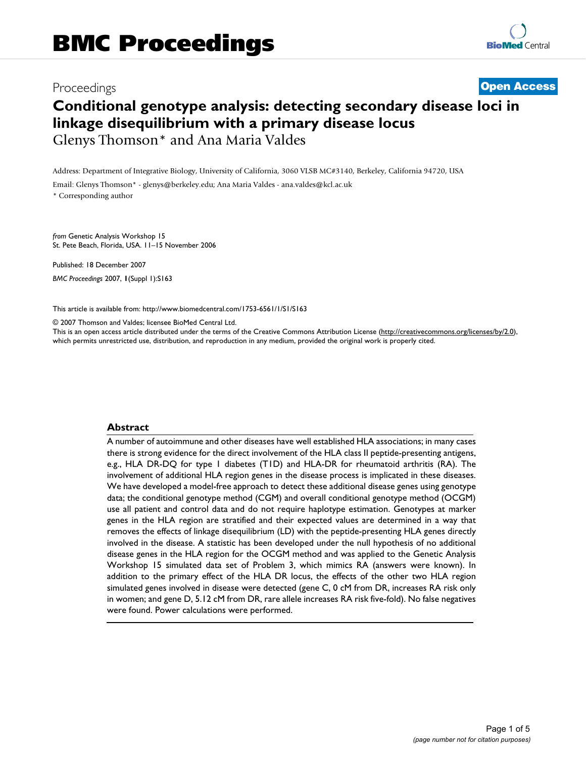# Proceedings **[Open Access](http://www.biomedcentral.com/info/about/charter/) Conditional genotype analysis: detecting secondary disease loci in linkage disequilibrium with a primary disease locus** Glenys Thomson\* and Ana Maria Valdes

Address: Department of Integrative Biology, University of California, 3060 VLSB MC#3140, Berkeley, California 94720, USA

Email: Glenys Thomson\* - glenys@berkeley.edu; Ana Maria Valdes - ana.valdes@kcl.ac.uk

\* Corresponding author

*from* Genetic Analysis Workshop 15 St. Pete Beach, Florida, USA. 11–15 November 2006

Published: 18 December 2007 *BMC Proceedings* 2007, **1**(Suppl 1):S163

[This article is available from: http://www.biomedcentral.com/1753-6561/1/S1/S163](http://www.biomedcentral.com/1753-6561/1/S1/S163)

© 2007 Thomson and Valdes; licensee BioMed Central Ltd.

This is an open access article distributed under the terms of the Creative Commons Attribution License [\(http://creativecommons.org/licenses/by/2.0\)](http://creativecommons.org/licenses/by/2.0), which permits unrestricted use, distribution, and reproduction in any medium, provided the original work is properly cited.

# **Abstract**

A number of autoimmune and other diseases have well established HLA associations; in many cases there is strong evidence for the direct involvement of the HLA class II peptide-presenting antigens, e.g., HLA DR-DQ for type 1 diabetes (T1D) and HLA-DR for rheumatoid arthritis (RA). The involvement of additional HLA region genes in the disease process is implicated in these diseases. We have developed a model-free approach to detect these additional disease genes using genotype data; the conditional genotype method (CGM) and overall conditional genotype method (OCGM) use all patient and control data and do not require haplotype estimation. Genotypes at marker genes in the HLA region are stratified and their expected values are determined in a way that removes the effects of linkage disequilibrium (LD) with the peptide-presenting HLA genes directly involved in the disease. A statistic has been developed under the null hypothesis of no additional disease genes in the HLA region for the OCGM method and was applied to the Genetic Analysis Workshop 15 simulated data set of Problem 3, which mimics RA (answers were known). In addition to the primary effect of the HLA DR locus, the effects of the other two HLA region simulated genes involved in disease were detected (gene C, 0 cM from DR, increases RA risk only in women; and gene D, 5.12 cM from DR, rare allele increases RA risk five-fold). No false negatives were found. Power calculations were performed.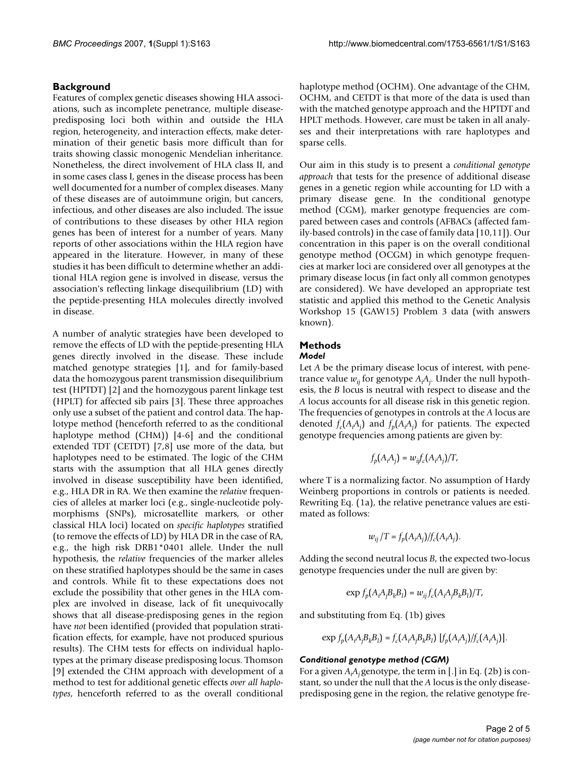# **Background**

Features of complex genetic diseases showing HLA associations, such as incomplete penetrance, multiple diseasepredisposing loci both within and outside the HLA region, heterogeneity, and interaction effects, make determination of their genetic basis more difficult than for traits showing classic monogenic Mendelian inheritance. Nonetheless, the direct involvement of HLA class II, and in some cases class I, genes in the disease process has been well documented for a number of complex diseases. Many of these diseases are of autoimmune origin, but cancers, infectious, and other diseases are also included. The issue of contributions to these diseases by other HLA region genes has been of interest for a number of years. Many reports of other associations within the HLA region have appeared in the literature. However, in many of these studies it has been difficult to determine whether an additional HLA region gene is involved in disease, versus the association's reflecting linkage disequilibrium (LD) with the peptide-presenting HLA molecules directly involved in disease.

A number of analytic strategies have been developed to remove the effects of LD with the peptide-presenting HLA genes directly involved in the disease. These include matched genotype strategies [1], and for family-based data the homozygous parent transmission disequilibrium test (HPTDT) [2] and the homozygous parent linkage test (HPLT) for affected sib pairs [3]. These three approaches only use a subset of the patient and control data. The haplotype method (henceforth referred to as the conditional haplotype method (CHM)) [4-6] and the conditional extended TDT (CETDT) [7,8] use more of the data, but haplotypes need to be estimated. The logic of the CHM starts with the assumption that all HLA genes directly involved in disease susceptibility have been identified, e.g., HLA DR in RA. We then examine the *relative* frequencies of alleles at marker loci (e.g., single-nucleotide polymorphisms (SNPs), microsatellite markers, or other classical HLA loci) located on *specific haplotypes* stratified (to remove the effects of LD) by HLA DR in the case of RA, e.g., the high risk DRB1\*0401 allele. Under the null hypothesis, the *relative* frequencies of the marker alleles on these stratified haplotypes should be the same in cases and controls. While fit to these expectations does not exclude the possibility that other genes in the HLA complex are involved in disease, lack of fit unequivocally shows that all disease-predisposing genes in the region have *not* been identified (provided that population stratification effects, for example, have not produced spurious results). The CHM tests for effects on individual haplotypes at the primary disease predisposing locus. Thomson [9] extended the CHM approach with development of a method to test for additional genetic effects *over all haplotypes*, henceforth referred to as the overall conditional

haplotype method (OCHM). One advantage of the CHM, OCHM, and CETDT is that more of the data is used than with the matched genotype approach and the HPTDT and HPLT methods. However, care must be taken in all analyses and their interpretations with rare haplotypes and sparse cells.

Our aim in this study is to present a *conditional genotype approach* that tests for the presence of additional disease genes in a genetic region while accounting for LD with a primary disease gene. In the conditional genotype method (CGM), marker genotype frequencies are compared between cases and controls (AFBACs (affected family-based controls) in the case of family data [10,11]). Our concentration in this paper is on the overall conditional genotype method (OCGM) in which genotype frequencies at marker loci are considered over all genotypes at the primary disease locus (in fact only all common genotypes are considered). We have developed an appropriate test statistic and applied this method to the Genetic Analysis Workshop 15 (GAW15) Problem 3 data (with answers known).

#### **Methods** *Model*

Let *A* be the primary disease locus of interest, with penetrance value *wij* for genotype *Ai Aj* . Under the null hypothesis, the *B* locus is neutral with respect to disease and the *A* locus accounts for all disease risk in this genetic region. The frequencies of genotypes in controls at the *A* locus are denoted  $f_c(A_iA_j)$  and  $f_p(A_iA_j)$  for patients. The expected genotype frequencies among patients are given by:

$$
f_p(A_iA_j) = w_{ij}f_c(A_iA_j)/T,
$$

where T is a normalizing factor. No assumption of Hardy Weinberg proportions in controls or patients is needed. Rewriting Eq. (1a), the relative penetrance values are estimated as follows:

$$
w_{ij}/T = f_p(A_iA_j)/f_c(A_iA_j).
$$

Adding the second neutral locus *B*, the expected two-locus genotype frequencies under the null are given by:

$$
\exp f_p(A_i A_j B_k B_l) = w_{ij} f_c(A_i A_j B_k B_l) / T,
$$

and substituting from Eq. (1b) gives

$$
\exp f_p(A_iA_jB_kB_l) = f_c(A_iA_jB_kB_l) \left[ f_p(A_iA_j)/f_c(A_iA_j) \right].
$$

# *Conditional genotype method (CGM)*

For a given *Ai Aj* genotype, the term in [.] in Eq. (2b) is constant, so under the null that the *A* locus is the only diseasepredisposing gene in the region, the relative genotype fre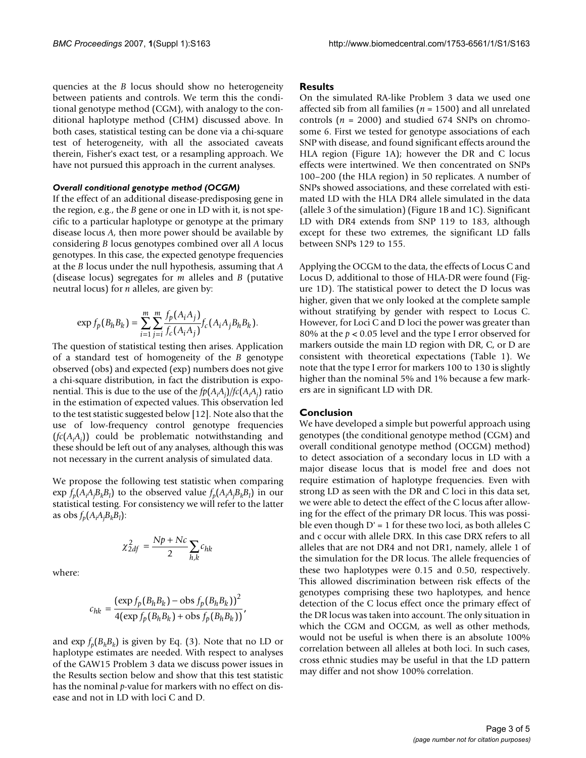quencies at the *B* locus should show no heterogeneity between patients and controls. We term this the conditional genotype method (CGM), with analogy to the conditional haplotype method (CHM) discussed above. In both cases, statistical testing can be done via a chi-square test of heterogeneity, with all the associated caveats therein, Fisher's exact test, or a resampling approach. We have not pursued this approach in the current analyses.

#### *Overall conditional genotype method (OCGM)*

If the effect of an additional disease-predisposing gene in the region, e.g., the *B* gene or one in LD with it, is not specific to a particular haplotype or genotype at the primary disease locus *A*, then more power should be available by considering *B* locus genotypes combined over all *A* locus genotypes. In this case, the expected genotype frequencies at the *B* locus under the null hypothesis, assuming that *A* (disease locus) segregates for *m* alleles and *B* (putative neutral locus) for *n* alleles, are given by:

$$
\exp f_p(B_h B_k) = \sum_{i=1}^m \sum_{j=i}^m \frac{f_p(A_i A_j)}{f_c(A_i A_j)} f_c(A_i A_j B_h B_k).
$$

The question of statistical testing then arises. Application of a standard test of homogeneity of the *B* genotype observed (obs) and expected (exp) numbers does not give a chi-square distribution, in fact the distribution is exponential. This is due to the use of the *fp*(*Ai Aj* )*/fc*(*Ai Aj* ) ratio in the estimation of expected values. This observation led to the test statistic suggested below [12]. Note also that the use of low-frequency control genotype frequencies  $(f_c(A_iA_j))$  could be problematic notwithstanding and these should be left out of any analyses, although this was not necessary in the current analysis of simulated data.

We propose the following test statistic when comparing  $\exp f_p(A_iA_jB_kB_l)$  to the observed value  $f_p(A_iA_jB_kB_l)$  in our statistical testing. For consistency we will refer to the latter as obs  $f_p(A_iA_jB_kB_l)$ :

$$
\chi^2_{2df} = \frac{Np + Nc}{2} \sum_{h,k} c_{hk}
$$

where:

$$
c_{hk} = \frac{(\exp f_p(B_h B_k) - \text{obs } f_p(B_h B_k))^2}{4(\exp f_p(B_h B_k) + \text{obs } f_p(B_h B_k))},
$$

and  $\exp f_p(B_h B_k)$  is given by Eq. (3). Note that no LD or haplotype estimates are needed. With respect to analyses of the GAW15 Problem 3 data we discuss power issues in the Results section below and show that this test statistic has the nominal *p*-value for markers with no effect on disease and not in LD with loci C and D.

### **Results**

On the simulated RA-like Problem 3 data we used one affected sib from all families (*n* = 1500) and all unrelated controls  $(n = 2000)$  and studied 674 SNPs on chromosome 6. First we tested for genotype associations of each SNP with disease, and found significant effects around the HLA region (Figure 1A); however the DR and C locus effects were intertwined. We then concentrated on SNPs 100–200 (the HLA region) in 50 replicates. A number of SNPs showed associations, and these correlated with estimated LD with the HLA DR4 allele simulated in the data (allele 3 of the simulation) (Figure 1B and 1C). Significant LD with DR4 extends from SNP 119 to 183, although except for these two extremes, the significant LD falls between SNPs 129 to 155.

Applying the OCGM to the data, the effects of Locus C and Locus D, additional to those of HLA-DR were found (Figure 1D). The statistical power to detect the D locus was higher, given that we only looked at the complete sample without stratifying by gender with respect to Locus C. However, for Loci C and D loci the power was greater than 80% at the *p* < 0.05 level and the type I error observed for markers outside the main LD region with DR, C, or D are consistent with theoretical expectations (Table 1). We note that the type I error for markers 100 to 130 is slightly higher than the nominal 5% and 1% because a few markers are in significant LD with DR.

#### **Conclusion**

We have developed a simple but powerful approach using genotypes (the conditional genotype method (CGM) and overall conditional genotype method (OCGM) method) to detect association of a secondary locus in LD with a major disease locus that is model free and does not require estimation of haplotype frequencies. Even with strong LD as seen with the DR and C loci in this data set, we were able to detect the effect of the C locus after allowing for the effect of the primary DR locus. This was possible even though  $D' = 1$  for these two loci, as both alleles C and c occur with allele DRX. In this case DRX refers to all alleles that are not DR4 and not DR1, namely, allele 1 of the simulation for the DR locus. The allele frequencies of these two haplotypes were 0.15 and 0.50, respectively. This allowed discrimination between risk effects of the genotypes comprising these two haplotypes, and hence detection of the C locus effect once the primary effect of the DR locus was taken into account. The only situation in which the CGM and OCGM, as well as other methods, would not be useful is when there is an absolute 100% correlation between all alleles at both loci. In such cases, cross ethnic studies may be useful in that the LD pattern may differ and not show 100% correlation.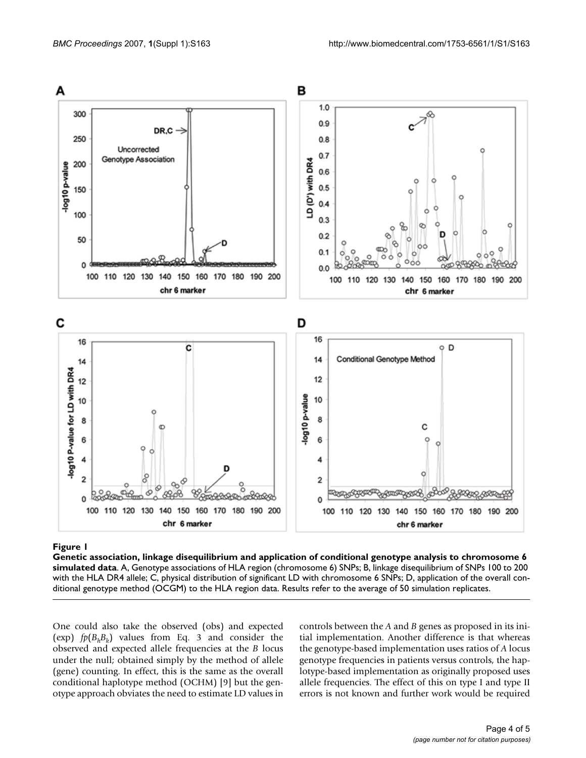

# Genetic association, linkage di **Figure 1** sequilibrium and application of conditional genotype analysis to chromosome 6 simulated data

**Genetic association, linkage disequilibrium and application of conditional genotype analysis to chromosome 6 simulated data**. A, Genotype associations of HLA region (chromosome 6) SNPs; B, linkage disequilibrium of SNPs 100 to 200 with the HLA DR4 allele; C, physical distribution of significant LD with chromosome 6 SNPs; D, application of the overall conditional genotype method (OCGM) to the HLA region data. Results refer to the average of 50 simulation replicates.

One could also take the observed (obs) and expected (exp)  $fp(B<sub>h</sub>B<sub>k</sub>)$  values from Eq. 3 and consider the observed and expected allele frequencies at the *B* locus under the null; obtained simply by the method of allele (gene) counting. In effect, this is the same as the overall conditional haplotype method (OCHM) [9] but the genotype approach obviates the need to estimate LD values in controls between the *A* and *B* genes as proposed in its initial implementation. Another difference is that whereas the genotype-based implementation uses ratios of *A* locus genotype frequencies in patients versus controls, the haplotype-based implementation as originally proposed uses allele frequencies. The effect of this on type I and type II errors is not known and further work would be required